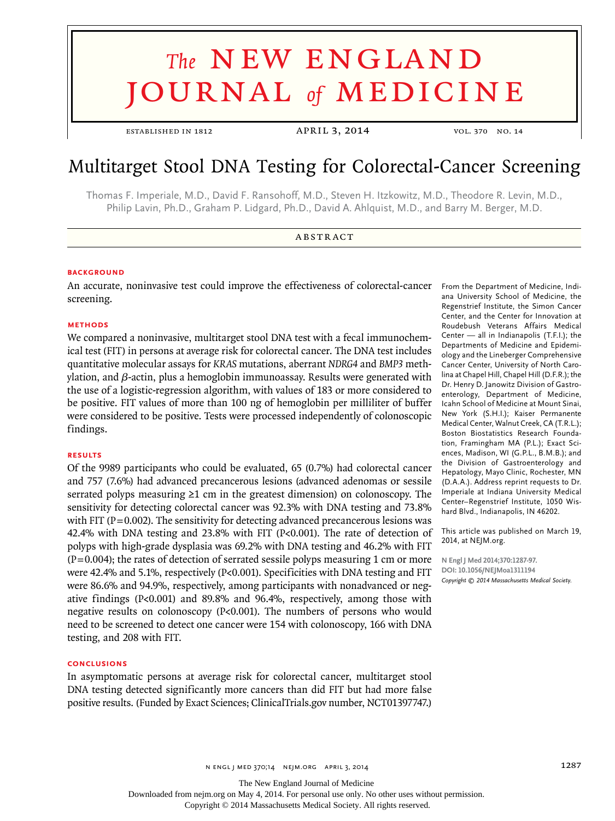# **The NEW ENGLAND** journal *of* medicine

established in 1812 **april 3, 2014** vol. 370 no. 14

# Multitarget Stool DNA Testing for Colorectal-Cancer Screening

Thomas F. Imperiale, M.D., David F. Ransohoff, M.D., Steven H. Itzkowitz, M.D., Theodore R. Levin, M.D., Philip Lavin, Ph.D., Graham P. Lidgard, Ph.D., David A. Ahlquist, M.D., and Barry M. Berger, M.D.

# ABSTRACT

#### **BACKGROUND**

An accurate, noninvasive test could improve the effectiveness of colorectal-cancer From the Department of Medicine, Indiscreening.

#### **Methods**

We compared a noninvasive, multitarget stool DNA test with a fecal immunochemical test (FIT) in persons at average risk for colorectal cancer. The DNA test includes quantitative molecular assays for *KRAS* mutations, aberrant *NDRG4* and *BMP3* methylation, and β-actin, plus a hemoglobin immunoassay. Results were generated with the use of a logistic-regression algorithm, with values of 183 or more considered to be positive. FIT values of more than 100 ng of hemoglobin per milliliter of buffer were considered to be positive. Tests were processed independently of colonoscopic findings.

#### **Results**

Of the 9989 participants who could be evaluated, 65 (0.7%) had colorectal cancer and 757 (7.6%) had advanced precancerous lesions (advanced adenomas or sessile serrated polyps measuring ≥1 cm in the greatest dimension) on colonoscopy. The sensitivity for detecting colorectal cancer was 92.3% with DNA testing and 73.8% with FIT ( $P=0.002$ ). The sensitivity for detecting advanced precancerous lesions was 42.4% with DNA testing and 23.8% with FIT (P<0.001). The rate of detection of polyps with high-grade dysplasia was 69.2% with DNA testing and 46.2% with FIT  $(P=0.004)$ ; the rates of detection of serrated sessile polyps measuring 1 cm or more were 42.4% and 5.1%, respectively (P<0.001). Specificities with DNA testing and FIT were 86.6% and 94.9%, respectively, among participants with nonadvanced or negative findings (P<0.001) and 89.8% and 96.4%, respectively, among those with negative results on colonoscopy (P<0.001). The numbers of persons who would need to be screened to detect one cancer were 154 with colonoscopy, 166 with DNA testing, and 208 with FIT.

#### **Conclusions**

In asymptomatic persons at average risk for colorectal cancer, multitarget stool DNA testing detected significantly more cancers than did FIT but had more false positive results. (Funded by Exact Sciences; ClinicalTrials.gov number, NCT01397747.)

ana University School of Medicine, the Regenstrief Institute, the Simon Cancer Center, and the Center for Innovation at Roudebush Veterans Affairs Medical Center — all in Indianapolis (T.F.I.); the Departments of Medicine and Epidemiology and the Lineberger Comprehensive Cancer Center, University of North Carolina at Chapel Hill, Chapel Hill (D.F.R.); the Dr. Henry D. Janowitz Division of Gastroenterology, Department of Medicine, Icahn School of Medicine at Mount Sinai, New York (S.H.I.); Kaiser Permanente Medical Center, Walnut Creek, CA (T.R.L.); Boston Biostatistics Research Foundation, Framingham MA (P.L.); Exact Sciences, Madison, WI (G.P.L., B.M.B.); and the Division of Gastroenterology and Hepatology, Mayo Clinic, Rochester, MN (D.A.A.). Address reprint requests to Dr. Imperiale at Indiana University Medical Center–Regenstrief Institute, 1050 Wishard Blvd., Indianapolis, IN 46202.

This article was published on March 19, 2014, at NEJM.org.

**N Engl J Med 2014;370:1287-97. DOI: 10.1056/NEJMoa1311194** *Copyright © 2014 Massachusetts Medical Society.*

The New England Journal of Medicine

Downloaded from nejm.org on May 4, 2014. For personal use only. No other uses without permission.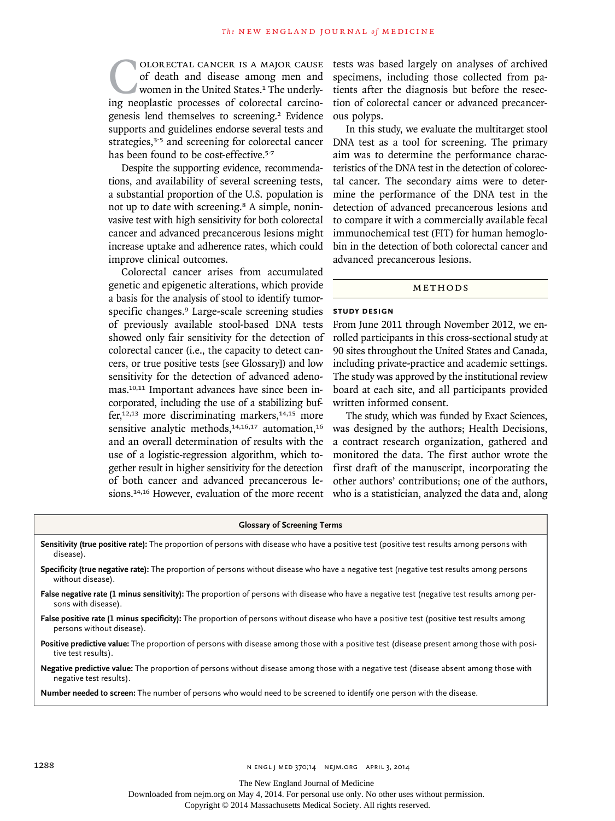COLORECTAL CANCER IS A MAJOR CAUSE<br>
of death and disease among men and<br>
women in the United States.<sup>1</sup> The underly-<br>
ing neoplastic processes of colorectal carcinoof death and disease among men and women in the United States.<sup>1</sup> The underlygenesis lend themselves to screening.2 Evidence supports and guidelines endorse several tests and strategies,<sup>3-5</sup> and screening for colorectal cancer has been found to be cost-effective.<sup>5-7</sup>

Despite the supporting evidence, recommendations, and availability of several screening tests, a substantial proportion of the U.S. population is not up to date with screening.<sup>8</sup> A simple, noninvasive test with high sensitivity for both colorectal cancer and advanced precancerous lesions might increase uptake and adherence rates, which could improve clinical outcomes.

Colorectal cancer arises from accumulated genetic and epigenetic alterations, which provide a basis for the analysis of stool to identify tumorspecific changes.9 Large-scale screening studies of previously available stool-based DNA tests showed only fair sensitivity for the detection of colorectal cancer (i.e., the capacity to detect cancers, or true positive tests [see Glossary]) and low sensitivity for the detection of advanced adenomas.10,11 Important advances have since been incorporated, including the use of a stabilizing buffer, $12,13$  more discriminating markers, $14,15$  more sensitive analytic methods, $14,16,17$  automation, $16$ and an overall determination of results with the use of a logistic-regression algorithm, which together result in higher sensitivity for the detection of both cancer and advanced precancerous lesions.14,16 However, evaluation of the more recent

tests was based largely on analyses of archived specimens, including those collected from patients after the diagnosis but before the resection of colorectal cancer or advanced precancerous polyps.

In this study, we evaluate the multitarget stool DNA test as a tool for screening. The primary aim was to determine the performance characteristics of the DNA test in the detection of colorectal cancer. The secondary aims were to determine the performance of the DNA test in the detection of advanced precancerous lesions and to compare it with a commercially available fecal immunochemical test (FIT) for human hemoglobin in the detection of both colorectal cancer and advanced precancerous lesions.

#### METHODS

## **Study Design**

From June 2011 through November 2012, we enrolled participants in this cross-sectional study at 90 sites throughout the United States and Canada, including private-practice and academic settings. The study was approved by the institutional review board at each site, and all participants provided written informed consent.

The study, which was funded by Exact Sciences, was designed by the authors; Health Decisions, a contract research organization, gathered and monitored the data. The first author wrote the first draft of the manuscript, incorporating the other authors' contributions; one of the authors, who is a statistician, analyzed the data and, along

#### **Glossary of Screening Terms**

- Sensitivity (true positive rate): The proportion of persons with disease who have a positive test (positive test results among persons with disease).
- **Specificity (true negative rate):** The proportion of persons without disease who have a negative test (negative test results among persons without disease).
- False negative rate (1 minus sensitivity): The proportion of persons with disease who have a negative test (negative test results among persons with disease).
- False positive rate (1 minus specificity): The proportion of persons without disease who have a positive test (positive test results among persons without disease).
- **Positive predictive value:** The proportion of persons with disease among those with a positive test (disease present among those with positive test results).

**Negative predictive value:** The proportion of persons without disease among those with a negative test (disease absent among those with negative test results).

**Number needed to screen:** The number of persons who would need to be screened to identify one person with the disease.

The New England Journal of Medicine

Downloaded from nejm.org on May 4, 2014. For personal use only. No other uses without permission.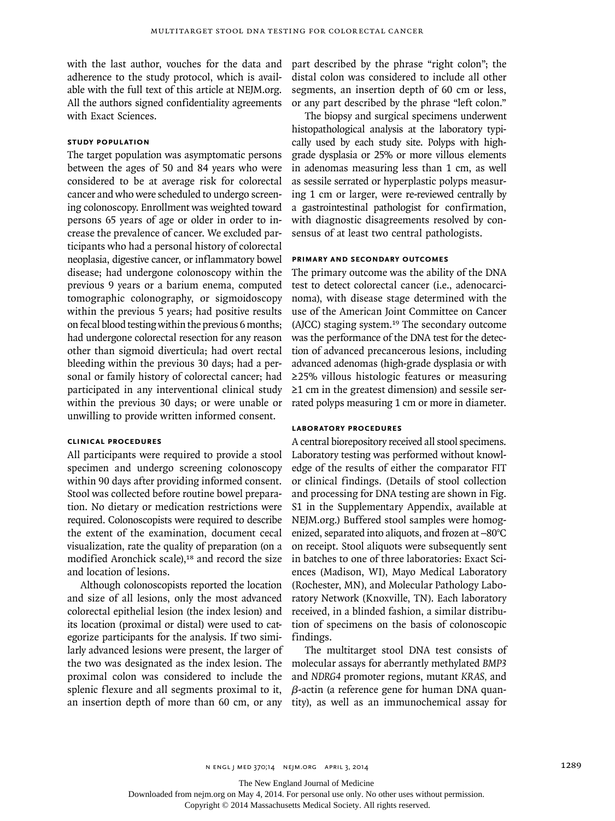with the last author, vouches for the data and adherence to the study protocol, which is available with the full text of this article at NEJM.org. All the authors signed confidentiality agreements with Exact Sciences.

#### **Study Population**

The target population was asymptomatic persons between the ages of 50 and 84 years who were considered to be at average risk for colorectal cancer and who were scheduled to undergo screening colonoscopy. Enrollment was weighted toward persons 65 years of age or older in order to increase the prevalence of cancer. We excluded participants who had a personal history of colorectal neoplasia, digestive cancer, or inflammatory bowel disease; had undergone colonoscopy within the previous 9 years or a barium enema, computed tomographic colonography, or sigmoidoscopy within the previous 5 years; had positive results on fecal blood testing within the previous 6 months; had undergone colorectal resection for any reason other than sigmoid diverticula; had overt rectal bleeding within the previous 30 days; had a personal or family history of colorectal cancer; had participated in any interventional clinical study within the previous 30 days; or were unable or unwilling to provide written informed consent.

# **Clinical Procedures**

All participants were required to provide a stool specimen and undergo screening colonoscopy within 90 days after providing informed consent. Stool was collected before routine bowel preparation. No dietary or medication restrictions were required. Colonoscopists were required to describe the extent of the examination, document cecal visualization, rate the quality of preparation (on a modified Aronchick scale),<sup>18</sup> and record the size and location of lesions.

Although colonoscopists reported the location and size of all lesions, only the most advanced colorectal epithelial lesion (the index lesion) and its location (proximal or distal) were used to categorize participants for the analysis. If two similarly advanced lesions were present, the larger of the two was designated as the index lesion. The proximal colon was considered to include the splenic flexure and all segments proximal to it, an insertion depth of more than 60 cm, or any part described by the phrase "right colon"; the distal colon was considered to include all other segments, an insertion depth of 60 cm or less, or any part described by the phrase "left colon."

The biopsy and surgical specimens underwent histopathological analysis at the laboratory typically used by each study site. Polyps with highgrade dysplasia or 25% or more villous elements in adenomas measuring less than 1 cm, as well as sessile serrated or hyperplastic polyps measuring 1 cm or larger, were re-reviewed centrally by a gastrointestinal pathologist for confirmation, with diagnostic disagreements resolved by consensus of at least two central pathologists.

# **Primary and Secondary Outcomes**

The primary outcome was the ability of the DNA test to detect colorectal cancer (i.e., adenocarcinoma), with disease stage determined with the use of the American Joint Committee on Cancer (AJCC) staging system.19 The secondary outcome was the performance of the DNA test for the detection of advanced precancerous lesions, including advanced adenomas (high-grade dysplasia or with ≥25% villous histologic features or measuring ≥1 cm in the greatest dimension) and sessile serrated polyps measuring 1 cm or more in diameter.

## **Laboratory Procedures**

A central biorepository received all stool specimens. Laboratory testing was performed without knowledge of the results of either the comparator FIT or clinical findings. (Details of stool collection and processing for DNA testing are shown in Fig. S1 in the Supplementary Appendix, available at NEJM.org.) Buffered stool samples were homogenized, separated into aliquots, and frozen at −80°C on receipt. Stool aliquots were subsequently sent in batches to one of three laboratories: Exact Sciences (Madison, WI), Mayo Medical Laboratory (Rochester, MN), and Molecular Pathology Laboratory Network (Knoxville, TN). Each laboratory received, in a blinded fashion, a similar distribution of specimens on the basis of colonoscopic findings.

The multitarget stool DNA test consists of molecular assays for aberrantly methylated *BMP3* and *NDRG4* promoter regions, mutant *KRAS,* and β-actin (a reference gene for human DNA quantity), as well as an immunochemical assay for

The New England Journal of Medicine

Downloaded from nejm.org on May 4, 2014. For personal use only. No other uses without permission.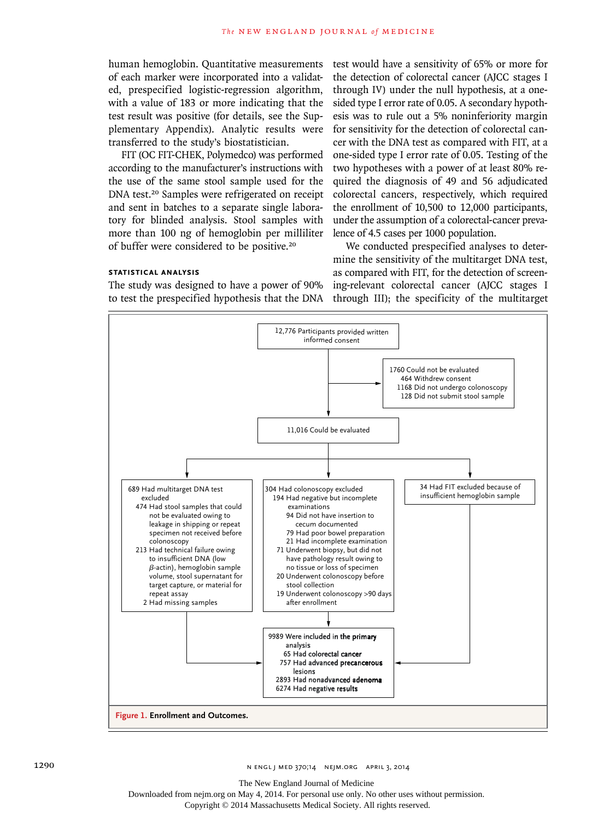human hemoglobin. Quantitative measurements of each marker were incorporated into a validated, prespecified logistic-regression algorithm, with a value of 183 or more indicating that the test result was positive (for details, see the Supplementary Appendix). Analytic results were transferred to the study's biostatistician.

FIT (OC FIT-CHEK, Polymedco) was performed according to the manufacturer's instructions with the use of the same stool sample used for the DNA test.20 Samples were refrigerated on receipt and sent in batches to a separate single laboratory for blinded analysis. Stool samples with more than 100 ng of hemoglobin per milliliter of buffer were considered to be positive.<sup>20</sup>

test would have a sensitivity of 65% or more for the detection of colorectal cancer (AJCC stages I through IV) under the null hypothesis, at a onesided type I error rate of 0.05. A secondary hypothesis was to rule out a 5% noninferiority margin for sensitivity for the detection of colorectal cancer with the DNA test as compared with FIT, at a one-sided type I error rate of 0.05. Testing of the two hypotheses with a power of at least 80% required the diagnosis of 49 and 56 adjudicated colorectal cancers, respectively, which required the enrollment of 10,500 to 12,000 participants, under the assumption of a colorectal-cancer prevalence of 4.5 cases per 1000 population.

#### **Statistical Analysis**

The study was designed to have a power of 90% to test the prespecified hypothesis that the DNA through III); the specificity of the multitarget

We conducted prespecified analyses to determine the sensitivity of the multitarget DNA test, as compared with FIT, for the detection of screening-relevant colorectal cancer (AJCC stages I



The New England Journal of Medicine

Downloaded from nejm.org on May 4, 2014. For personal use only. No other uses without permission.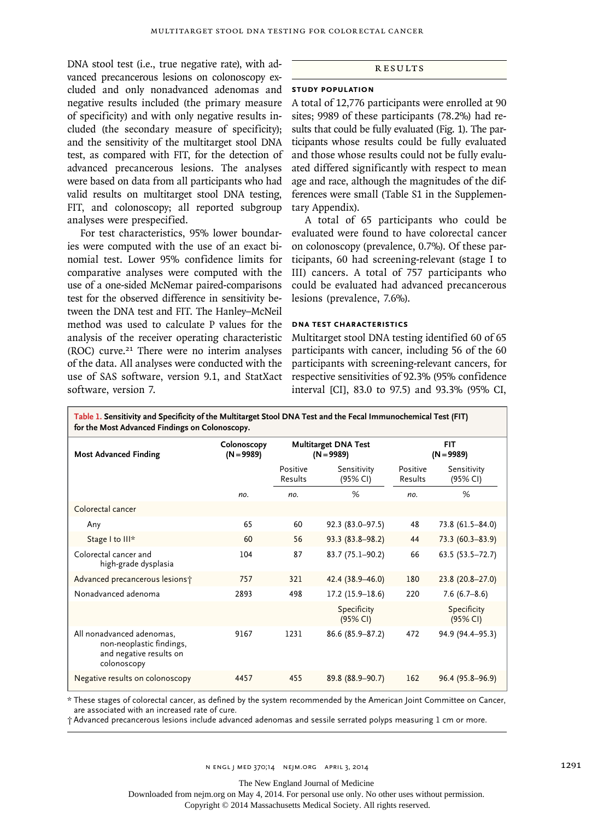DNA stool test (i.e., true negative rate), with advanced precancerous lesions on colonoscopy excluded and only nonadvanced adenomas and negative results included (the primary measure of specificity) and with only negative results included (the secondary measure of specificity); and the sensitivity of the multitarget stool DNA test, as compared with FIT, for the detection of advanced precancerous lesions. The analyses were based on data from all participants who had valid results on multitarget stool DNA testing, FIT, and colonoscopy; all reported subgroup analyses were prespecified.

For test characteristics, 95% lower boundaries were computed with the use of an exact binomial test. Lower 95% confidence limits for comparative analyses were computed with the use of a one-sided McNemar paired-comparisons test for the observed difference in sensitivity between the DNA test and FIT. The Hanley–McNeil method was used to calculate P values for the analysis of the receiver operating characteristic (ROC) curve.21 There were no interim analyses of the data. All analyses were conducted with the use of SAS software, version 9.1, and StatXact software, version 7.

# Results

#### **Study Population**

A total of 12,776 participants were enrolled at 90 sites; 9989 of these participants (78.2%) had results that could be fully evaluated (Fig. 1). The participants whose results could be fully evaluated and those whose results could not be fully evaluated differed significantly with respect to mean age and race, although the magnitudes of the differences were small (Table S1 in the Supplementary Appendix).

A total of 65 participants who could be evaluated were found to have colorectal cancer on colonoscopy (prevalence, 0.7%). Of these participants, 60 had screening-relevant (stage I to III) cancers. A total of 757 participants who could be evaluated had advanced precancerous lesions (prevalence, 7.6%).

# **DNA Test Characteristics**

Multitarget stool DNA testing identified 60 of 65 participants with cancer, including 56 of the 60 participants with screening-relevant cancers, for respective sensitivities of 92.3% (95% confidence interval [CI], 83.0 to 97.5) and 93.3% (95% CI,

| Table 1. Sensitivity and Specificity of the Multitarget Stool DNA Test and the Fecal Immunochemical Test (FIT)<br>for the Most Advanced Findings on Colonoscopy. |                             |                                             |                         |                            |                         |  |  |  |
|------------------------------------------------------------------------------------------------------------------------------------------------------------------|-----------------------------|---------------------------------------------|-------------------------|----------------------------|-------------------------|--|--|--|
| <b>Most Advanced Finding</b>                                                                                                                                     | Colonoscopy<br>$(N = 9989)$ | <b>Multitarget DNA Test</b><br>$(N = 9989)$ |                         | <b>FIT</b><br>$(N = 9989)$ |                         |  |  |  |
|                                                                                                                                                                  |                             | Positive<br>Results                         | Sensitivity<br>(95% CI) | Positive<br>Results        | Sensitivity<br>(95% CI) |  |  |  |
|                                                                                                                                                                  | no.                         | no.                                         | %                       | no.                        | %                       |  |  |  |
| Colorectal cancer                                                                                                                                                |                             |                                             |                         |                            |                         |  |  |  |
| Any                                                                                                                                                              | 65                          | 60                                          | 92.3 (83.0-97.5)        | 48                         | 73.8 (61.5-84.0)        |  |  |  |
| Stage I to III*                                                                                                                                                  | 60                          | 56                                          | 93.3 (83.8-98.2)        | 44                         | $73.3(60.3 - 83.9)$     |  |  |  |
| Colorectal cancer and<br>high-grade dysplasia                                                                                                                    | 104                         | 87                                          | 83.7 (75.1-90.2)        | 66                         | $63.5(53.5 - 72.7)$     |  |  |  |
| Advanced precancerous lesions;                                                                                                                                   | 757                         | 321                                         | 42.4 (38.9-46.0)        | 180                        | 23.8 (20.8-27.0)        |  |  |  |
| Nonadvanced adenoma                                                                                                                                              | 2893                        | 498                                         | $17.2(15.9-18.6)$       | 220                        | $7.6(6.7 - 8.6)$        |  |  |  |
|                                                                                                                                                                  |                             |                                             | Specificity<br>(95% CI) |                            | Specificity<br>(95% CI) |  |  |  |
| All nonadvanced adenomas,<br>non-neoplastic findings,<br>and negative results on<br>colonoscopy                                                                  | 9167                        | 1231                                        | 86.6 (85.9-87.2)        | 472                        | 94.9 (94.4-95.3)        |  |  |  |
| Negative results on colonoscopy                                                                                                                                  | 4457                        | 455                                         | 89.8 (88.9-90.7)        | 162                        | 96.4 (95.8-96.9)        |  |  |  |

\* These stages of colorectal cancer, as defined by the system recommended by the American Joint Committee on Cancer, are associated with an increased rate of cure.

† Advanced precancerous lesions include advanced adenomas and sessile serrated polyps measuring 1 cm or more.

The New England Journal of Medicine

Downloaded from nejm.org on May 4, 2014. For personal use only. No other uses without permission.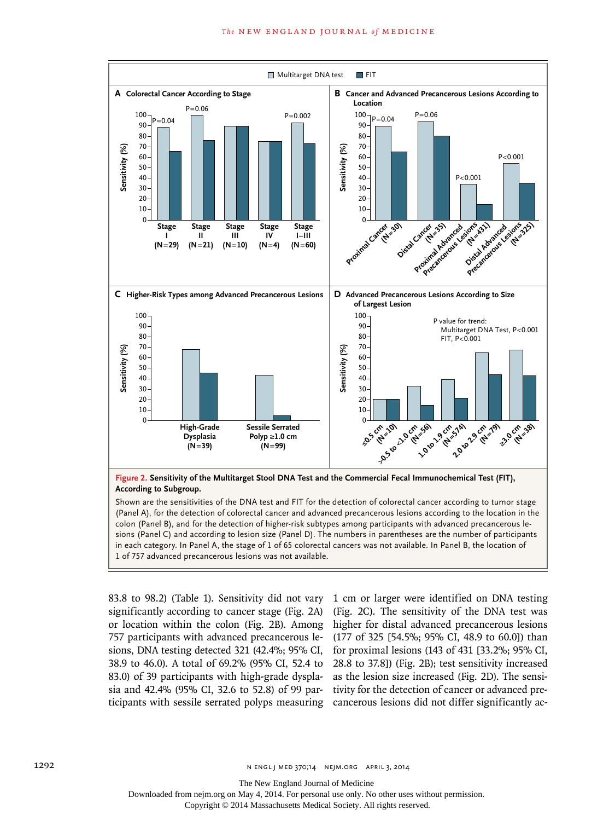

Shown are the sensitivities of the DNA test and FIT for the detection of colorectal cancer according to tumor stage (Panel A), for the detection of colorectal cancer and advanced precancerous lesions according to the location in the colon (Panel B), and for the detection of higher-risk subtypes among participants with advanced precancerous lesions (Panel C) and according to lesion size (Panel D). The numbers in parentheses are the number of participants in each category. In Panel A, the stage of 1 of 65 colorectal cancers was not available. In Panel B, the location of 1 of 757 advanced precancerous lesions was not available.

83.8 to 98.2) (Table 1). Sensitivity did not vary significantly according to cancer stage (Fig. 2A) or location within the colon (Fig. 2B). Among 757 participants with advanced precancerous lesions, DNA testing detected 321 (42.4%; 95% CI, 38.9 to 46.0). A total of 69.2% (95% CI, 52.4 to 83.0) of 39 participants with high-grade dysplasia and 42.4% (95% CI, 32.6 to 52.8) of 99 par-tivity for the detection of cancer or advanced preticipants with sessile serrated polyps measuring cancerous lesions did not differ significantly ac-

1 cm or larger were identified on DNA testing (Fig. 2C). The sensitivity of the DNA test was higher for distal advanced precancerous lesions (177 of 325 [54.5%; 95% CI, 48.9 to 60.0]) than for proximal lesions (143 of 431 [33.2%; 95% CI, 28.8 to 37.8]) (Fig. 2B); test sensitivity increased as the lesion size increased (Fig. 2D). The sensi-

The New England Journal of Medicine

Downloaded from nejm.org on May 4, 2014. For personal use only. No other uses without permission.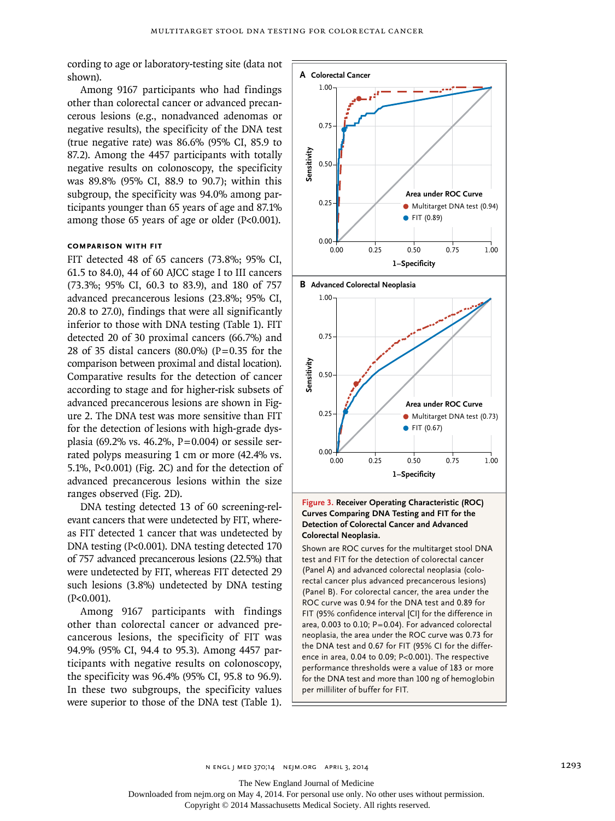cording to age or laboratory-testing site (data not shown).

Among 9167 participants who had findings other than colorectal cancer or advanced precancerous lesions (e.g., nonadvanced adenomas or negative results), the specificity of the DNA test (true negative rate) was 86.6% (95% CI, 85.9 to 87.2). Among the 4457 participants with totally negative results on colonoscopy, the specificity was 89.8% (95% CI, 88.9 to 90.7); within this subgroup, the specificity was 94.0% among participants younger than 65 years of age and 87.1% among those 65 years of age or older (P<0.001).

## **Comparison with FIT**

FIT detected 48 of 65 cancers (73.8%; 95% CI, 61.5 to 84.0), 44 of 60 AJCC stage I to III cancers (73.3%; 95% CI, 60.3 to 83.9), and 180 of 757 advanced precancerous lesions (23.8%; 95% CI, 20.8 to 27.0), findings that were all significantly inferior to those with DNA testing (Table 1). FIT detected 20 of 30 proximal cancers (66.7%) and 28 of 35 distal cancers  $(80.0\%)$   $(P=0.35$  for the comparison between proximal and distal location). Comparative results for the detection of cancer according to stage and for higher-risk subsets of advanced precancerous lesions are shown in Figure 2. The DNA test was more sensitive than FIT for the detection of lesions with high-grade dysplasia (69.2% vs. 46.2%,  $P = 0.004$ ) or sessile serrated polyps measuring 1 cm or more (42.4% vs. 5.1%, P<0.001) (Fig. 2C) and for the detection of advanced precancerous lesions within the size ranges observed (Fig. 2D).

DNA testing detected 13 of 60 screening-relevant cancers that were undetected by FIT, whereas FIT detected 1 cancer that was undetected by DNA testing (P<0.001). DNA testing detected 170 of 757 advanced precancerous lesions (22.5%) that were undetected by FIT, whereas FIT detected 29 such lesions (3.8%) undetected by DNA testing (P<0.001).

Among 9167 participants with findings other than colorectal cancer or advanced precancerous lesions, the specificity of FIT was 94.9% (95% CI, 94.4 to 95.3). Among 4457 participants with negative results on colonoscopy, the specificity was 96.4% (95% CI, 95.8 to 96.9). In these two subgroups, the specificity values were superior to those of the DNA test (Table 1).



#### **Figure 3. Receiver Operating Characteristic (ROC) Curves Comparing DNA Testing and FIT for the Detection of Colorectal Cancer and Advanced Colorectal Neoplasia.**

Shown are ROC curves for the multitarget stool DNA test and FIT for the detection of colorectal cancer (Panel A) and advanced colorectal neoplasia (colorectal cancer plus advanced precancerous lesions) (Panel B). For colorectal cancer, the area under the ROC curve was 0.94 for the DNA test and 0.89 for FIT (95% confidence interval [CI] for the difference in area, 0.003 to 0.10; P=0.04). For advanced colorectal neoplasia, the area under the ROC curve was 0.73 for the DNA test and 0.67 for FIT (95% CI for the difference in area, 0.04 to 0.09; P<0.001). The respective performance thresholds were a value of 183 or more for the DNA test and more than 100 ng of hemoglobin per milliliter of buffer for FIT.

The New England Journal of Medicine

Downloaded from nejm.org on May 4, 2014. For personal use only. No other uses without permission.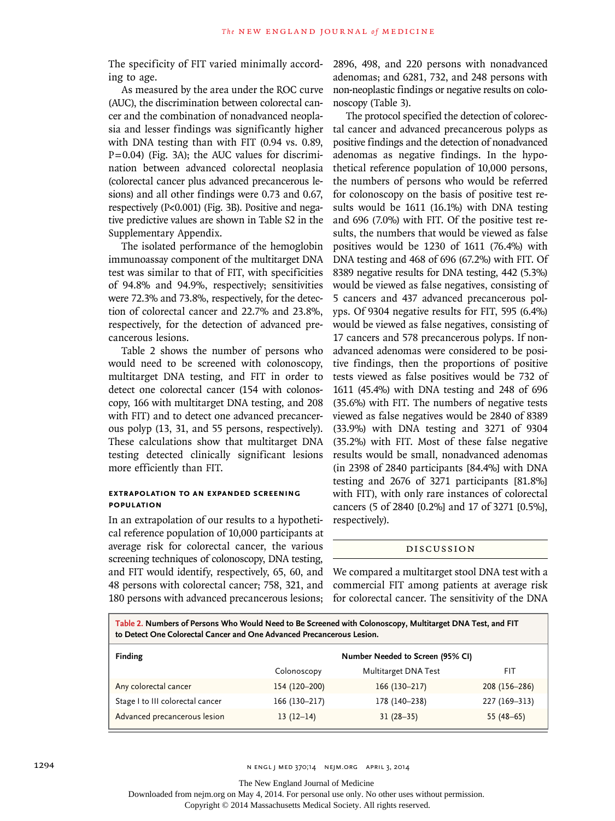The specificity of FIT varied minimally according to age.

As measured by the area under the ROC curve (AUC), the discrimination between colorectal cancer and the combination of nonadvanced neoplasia and lesser findings was significantly higher with DNA testing than with FIT (0.94 vs. 0.89,  $P=0.04$ ) (Fig. 3A); the AUC values for discrimination between advanced colorectal neoplasia (colorectal cancer plus advanced precancerous lesions) and all other findings were 0.73 and 0.67, respectively (P<0.001) (Fig. 3B). Positive and negative predictive values are shown in Table S2 in the Supplementary Appendix.

The isolated performance of the hemoglobin immunoassay component of the multitarget DNA test was similar to that of FIT, with specificities of 94.8% and 94.9%, respectively; sensitivities were 72.3% and 73.8%, respectively, for the detection of colorectal cancer and 22.7% and 23.8%, respectively, for the detection of advanced precancerous lesions.

Table 2 shows the number of persons who would need to be screened with colonoscopy, multitarget DNA testing, and FIT in order to detect one colorectal cancer (154 with colonoscopy, 166 with multitarget DNA testing, and 208 with FIT) and to detect one advanced precancerous polyp (13, 31, and 55 persons, respectively). These calculations show that multitarget DNA testing detected clinically significant lesions more efficiently than FIT.

# **Extrapolation to an Expanded Screening Population**

In an extrapolation of our results to a hypothetical reference population of 10,000 participants at average risk for colorectal cancer, the various screening techniques of colonoscopy, DNA testing, and FIT would identify, respectively, 65, 60, and 48 persons with colorectal cancer; 758, 321, and 180 persons with advanced precancerous lesions; 2896, 498, and 220 persons with nonadvanced adenomas; and 6281, 732, and 248 persons with non-neoplastic findings or negative results on colonoscopy (Table 3).

The protocol specified the detection of colorectal cancer and advanced precancerous polyps as positive findings and the detection of nonadvanced adenomas as negative findings. In the hypothetical reference population of 10,000 persons, the numbers of persons who would be referred for colonoscopy on the basis of positive test results would be 1611 (16.1%) with DNA testing and 696 (7.0%) with FIT. Of the positive test results, the numbers that would be viewed as false positives would be 1230 of 1611 (76.4%) with DNA testing and 468 of 696 (67.2%) with FIT. Of 8389 negative results for DNA testing, 442 (5.3%) would be viewed as false negatives, consisting of 5 cancers and 437 advanced precancerous polyps. Of 9304 negative results for FIT, 595 (6.4%) would be viewed as false negatives, consisting of 17 cancers and 578 precancerous polyps. If nonadvanced adenomas were considered to be positive findings, then the proportions of positive tests viewed as false positives would be 732 of 1611 (45.4%) with DNA testing and 248 of 696 (35.6%) with FIT. The numbers of negative tests viewed as false negatives would be 2840 of 8389 (33.9%) with DNA testing and 3271 of 9304 (35.2%) with FIT. Most of these false negative results would be small, nonadvanced adenomas (in 2398 of 2840 participants [84.4%] with DNA testing and 2676 of 3271 participants [81.8%] with FIT), with only rare instances of colorectal cancers (5 of 2840 [0.2%] and 17 of 3271 [0.5%], respectively).

# Discussion

We compared a multitarget stool DNA test with a commercial FIT among patients at average risk for colorectal cancer. The sensitivity of the DNA

| Table 2. Numbers of Persons Who Would Need to Be Screened with Colonoscopy, Multitarget DNA Test, and FIT<br>to Detect One Colorectal Cancer and One Advanced Precancerous Lesion. |               |                                  |               |  |  |  |  |
|------------------------------------------------------------------------------------------------------------------------------------------------------------------------------------|---------------|----------------------------------|---------------|--|--|--|--|
| <b>Finding</b>                                                                                                                                                                     |               | Number Needed to Screen (95% CI) |               |  |  |  |  |
|                                                                                                                                                                                    | Colonoscopy   | Multitarget DNA Test             | FIT           |  |  |  |  |
| Any colorectal cancer                                                                                                                                                              | 154 (120-200) | 166 (130-217)                    | 208 (156-286) |  |  |  |  |
| Stage I to III colorectal cancer                                                                                                                                                   | 166 (130-217) | 178 (140-238)                    | 227 (169-313) |  |  |  |  |
| Advanced precancerous lesion                                                                                                                                                       | $13(12-14)$   | $31(28-35)$                      | 55 $(48-65)$  |  |  |  |  |

The New England Journal of Medicine

Downloaded from nejm.org on May 4, 2014. For personal use only. No other uses without permission.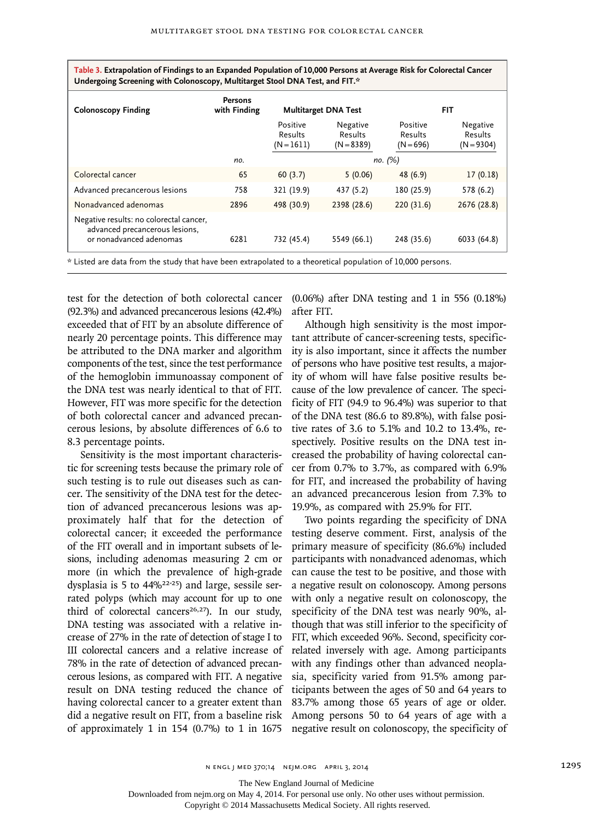**Table 3. Extrapolation of Findings to an Expanded Population of 10,000 Persons at Average Risk for Colorectal Cancer Undergoing Screening with Colonoscopy, Multitarget Stool DNA Test, and FIT.\***

| <b>Colonoscopy Finding</b>                                                                           | Persons<br>with Finding | <b>Multitarget DNA Test</b>         |                                     | <b>FIT</b>                         |                                     |
|------------------------------------------------------------------------------------------------------|-------------------------|-------------------------------------|-------------------------------------|------------------------------------|-------------------------------------|
|                                                                                                      |                         | Positive<br>Results<br>$(N = 1611)$ | Negative<br>Results<br>$(N = 8389)$ | Positive<br>Results<br>$(N = 696)$ | Negative<br>Results<br>$(N = 9304)$ |
|                                                                                                      | no.                     | no. (%)                             |                                     |                                    |                                     |
| Colorectal cancer                                                                                    | 65                      | 60(3.7)                             | 5(0.06)                             | 48 (6.9)                           | 17(0.18)                            |
| Advanced precancerous lesions                                                                        | 758                     | 321 (19.9)                          | 437 (5.2)                           | 180 (25.9)                         | 578 (6.2)                           |
| Nonadvanced adenomas                                                                                 | 2896                    | 498 (30.9)                          | 2398 (28.6)                         | 220 (31.6)                         | 2676 (28.8)                         |
| Negative results: no colorectal cancer,<br>advanced precancerous lesions,<br>or nonadvanced adenomas | 6281                    | 732 (45.4)                          | 5549 (66.1)                         | 248 (35.6)                         | 6033 (64.8)                         |

\* Listed are data from the study that have been extrapolated to a theoretical population of 10,000 persons.

test for the detection of both colorectal cancer (92.3%) and advanced precancerous lesions (42.4%) exceeded that of FIT by an absolute difference of nearly 20 percentage points. This difference may be attributed to the DNA marker and algorithm components of the test, since the test performance of the hemoglobin immunoassay component of the DNA test was nearly identical to that of FIT. However, FIT was more specific for the detection of both colorectal cancer and advanced precancerous lesions, by absolute differences of 6.6 to 8.3 percentage points.

Sensitivity is the most important characteristic for screening tests because the primary role of such testing is to rule out diseases such as cancer. The sensitivity of the DNA test for the detection of advanced precancerous lesions was approximately half that for the detection of colorectal cancer; it exceeded the performance of the FIT overall and in important subsets of lesions, including adenomas measuring 2 cm or more (in which the prevalence of high-grade dysplasia is 5 to  $44\%^{22-25}$  and large, sessile serrated polyps (which may account for up to one third of colorectal cancers<sup>26,27</sup>). In our study, DNA testing was associated with a relative increase of 27% in the rate of detection of stage I to III colorectal cancers and a relative increase of 78% in the rate of detection of advanced precancerous lesions, as compared with FIT. A negative result on DNA testing reduced the chance of having colorectal cancer to a greater extent than did a negative result on FIT, from a baseline risk (0.06%) after DNA testing and 1 in 556 (0.18%) after FIT.

Although high sensitivity is the most important attribute of cancer-screening tests, specificity is also important, since it affects the number of persons who have positive test results, a majority of whom will have false positive results because of the low prevalence of cancer. The specificity of FIT (94.9 to 96.4%) was superior to that of the DNA test (86.6 to 89.8%), with false positive rates of 3.6 to 5.1% and 10.2 to 13.4%, respectively. Positive results on the DNA test increased the probability of having colorectal cancer from 0.7% to 3.7%, as compared with 6.9% for FIT, and increased the probability of having an advanced precancerous lesion from 7.3% to 19.9%, as compared with 25.9% for FIT.

of approximately 1 in 154 (0.7%) to 1 in 1675 negative result on colonoscopy, the specificity of Two points regarding the specificity of DNA testing deserve comment. First, analysis of the primary measure of specificity (86.6%) included participants with nonadvanced adenomas, which can cause the test to be positive, and those with a negative result on colonoscopy. Among persons with only a negative result on colonoscopy, the specificity of the DNA test was nearly 90%, although that was still inferior to the specificity of FIT, which exceeded 96%. Second, specificity correlated inversely with age. Among participants with any findings other than advanced neoplasia, specificity varied from 91.5% among participants between the ages of 50 and 64 years to 83.7% among those 65 years of age or older. Among persons 50 to 64 years of age with a

The New England Journal of Medicine

Downloaded from nejm.org on May 4, 2014. For personal use only. No other uses without permission.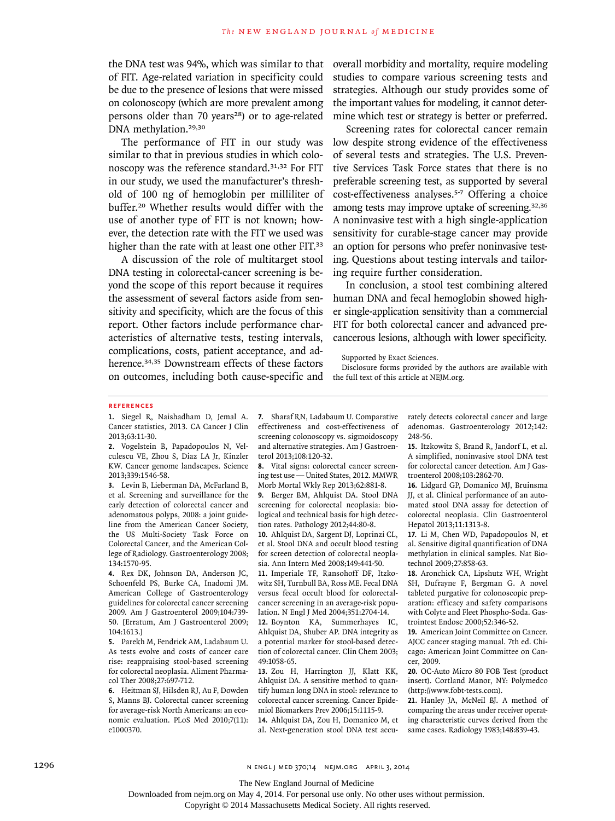the DNA test was 94%, which was similar to that of FIT. Age-related variation in specificity could be due to the presence of lesions that were missed on colonoscopy (which are more prevalent among persons older than 70 years<sup>28</sup>) or to age-related DNA methylation.<sup>29,30</sup>

The performance of FIT in our study was similar to that in previous studies in which colonoscopy was the reference standard.31,32 For FIT in our study, we used the manufacturer's threshold of 100 ng of hemoglobin per milliliter of buffer.20 Whether results would differ with the use of another type of FIT is not known; however, the detection rate with the FIT we used was higher than the rate with at least one other FIT.<sup>33</sup>

A discussion of the role of multitarget stool DNA testing in colorectal-cancer screening is beyond the scope of this report because it requires the assessment of several factors aside from sensitivity and specificity, which are the focus of this report. Other factors include performance characteristics of alternative tests, testing intervals, complications, costs, patient acceptance, and adherence.34,35 Downstream effects of these factors on outcomes, including both cause-specific and

overall morbidity and mortality, require modeling studies to compare various screening tests and strategies. Although our study provides some of the important values for modeling, it cannot determine which test or strategy is better or preferred.

Screening rates for colorectal cancer remain low despite strong evidence of the effectiveness of several tests and strategies. The U.S. Preventive Services Task Force states that there is no preferable screening test, as supported by several cost-effectiveness analyses.5-7 Offering a choice among tests may improve uptake of screening.32,36 A noninvasive test with a high single-application sensitivity for curable-stage cancer may provide an option for persons who prefer noninvasive testing. Questions about testing intervals and tailoring require further consideration.

In conclusion, a stool test combining altered human DNA and fecal hemoglobin showed higher single-application sensitivity than a commercial FIT for both colorectal cancer and advanced precancerous lesions, although with lower specificity.

Supported by Exact Sciences.

Disclosure forms provided by the authors are available with the full text of this article at NEJM.org.

#### **References**

**1.** Siegel R, Naishadham D, Jemal A. Cancer statistics, 2013. CA Cancer J Clin 2013;63:11-30.

**2.** Vogelstein B, Papadopoulos N, Velculescu VE, Zhou S, Diaz LA Jr, Kinzler KW. Cancer genome landscapes. Science 2013;339:1546-58.

**3.** Levin B, Lieberman DA, McFarland B, et al. Screening and surveillance for the early detection of colorectal cancer and adenomatous polyps, 2008: a joint guideline from the American Cancer Society, the US Multi-Society Task Force on Colorectal Cancer, and the American College of Radiology. Gastroenterology 2008; 134:1570-95.

**4.** Rex DK, Johnson DA, Anderson JC, Schoenfeld PS, Burke CA, Inadomi JM. American College of Gastroenterology guidelines for colorectal cancer screening 2009. Am J Gastroenterol 2009;104:739- 50. [Erratum, Am J Gastroenterol 2009; 104:1613.]

**5.** Parekh M, Fendrick AM, Ladabaum U. As tests evolve and costs of cancer care rise: reappraising stool-based screening for colorectal neoplasia. Aliment Pharmacol Ther 2008;27:697-712.

**6.** Heitman SJ, Hilsden RJ, Au F, Dowden S, Manns BJ. Colorectal cancer screening for average-risk North Americans: an economic evaluation. PLoS Med 2010;7(11): e1000370.

**7.** Sharaf RN, Ladabaum U. Comparative effectiveness and cost-effectiveness of screening colonoscopy vs. sigmoidoscopy and alternative strategies. Am J Gastroenterol 2013;108:120-32.

**8.** Vital signs: colorectal cancer screening test use — United States, 2012. MMWR Morb Mortal Wkly Rep 2013;62:881-8.

**9.** Berger BM, Ahlquist DA. Stool DNA screening for colorectal neoplasia: biological and technical basis for high detection rates. Pathology 2012;44:80-8.

**10.** Ahlquist DA, Sargent DJ, Loprinzi CL, et al. Stool DNA and occult blood testing for screen detection of colorectal neoplasia. Ann Intern Med 2008;149:441-50.

**11.** Imperiale TF, Ransohoff DF, Itzkowitz SH, Turnbull BA, Ross ME. Fecal DNA versus fecal occult blood for colorectalcancer screening in an average-risk population. N Engl J Med 2004;351:2704-14.

**12.** Boynton KA, Summerhayes IC, Ahlquist DA, Shuber AP. DNA integrity as a potential marker for stool-based detection of colorectal cancer. Clin Chem 2003; 49:1058-65.

**13.** Zou H, Harrington JJ, Klatt KK, Ahlquist DA. A sensitive method to quantify human long DNA in stool: relevance to colorectal cancer screening. Cancer Epidemiol Biomarkers Prev 2006;15:1115-9. **14.** Ahlquist DA, Zou H, Domanico M, et

al. Next-generation stool DNA test accu-

rately detects colorectal cancer and large adenomas. Gastroenterology 2012;142: 248-56.

**15.** Itzkowitz S, Brand R, Jandorf L, et al. A simplified, noninvasive stool DNA test for colorectal cancer detection. Am J Gastroenterol 2008;103:2862-70.

**16.** Lidgard GP, Domanico MJ, Bruinsma JJ, et al. Clinical performance of an automated stool DNA assay for detection of colorectal neoplasia. Clin Gastroenterol Hepatol 2013;11:1313-8.

**17.** Li M, Chen WD, Papadopoulos N, et al. Sensitive digital quantification of DNA methylation in clinical samples. Nat Biotechnol 2009;27:858-63.

**18.** Aronchick CA, Lipshutz WH, Wright SH, Dufrayne F, Bergman G. A novel tableted purgative for colonoscopic preparation: efficacy and safety comparisons with Colyte and Fleet Phospho-Soda. Gastrointest Endosc 2000;52:346-52.

**19.** American Joint Committee on Cancer. AJCC cancer staging manual. 7th ed. Chicago: American Joint Committee on Cancer, 2009.

**20.** OC-Auto Micro 80 FOB Test (product insert). Cortland Manor, NY: Polymedco (http://www.fobt-tests.com).

**21.** Hanley JA, McNeil BJ. A method of comparing the areas under receiver operating characteristic curves derived from the same cases. Radiology 1983;148:839-43.

1296 n engl j med 370;14 nejm.org april 3, 2014

The New England Journal of Medicine

Downloaded from nejm.org on May 4, 2014. For personal use only. No other uses without permission.